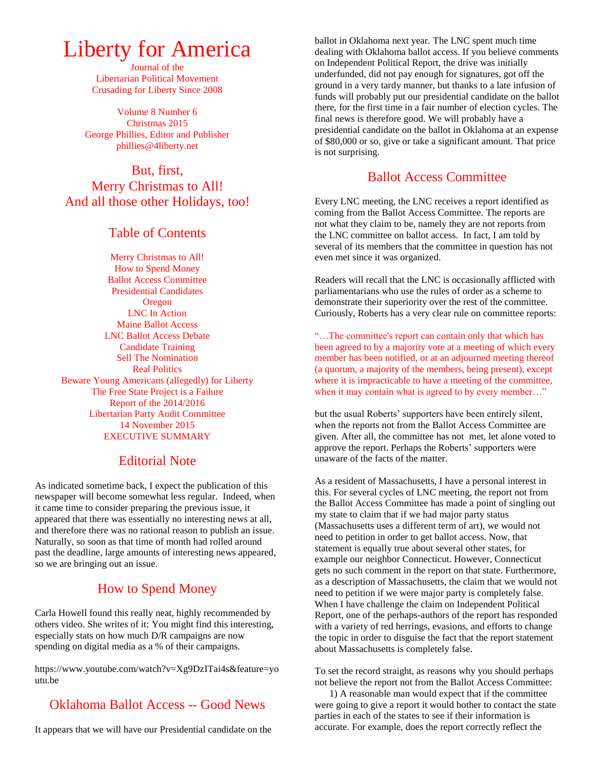# Liberty for America

Journal of the Libertarian Political Movement Crusading for Liberty Since 2008

Volume 8 Number 6 Christmas 2015 George Phillies, Editor and Publisher phillies@4liberty.net

# But, first, Merry Christmas to All! And all those other Holidays, too!

#### Table of Contents

Merry Christmas to All! How to Spend Money Ballot Access Committee Presidential Candidates Oregon LNC In Action Maine Ballot Access LNC Ballot Access Debate Candidate Training Sell The Nomination Real Politics Beware Young Americans (allegedly) for Liberty The Free State Project is a Failure Report of the 2014/2016 Libertarian Party Audit Committee 14 November 2015 EXECUTIVE SUMMARY

#### Editorial Note

As indicated sometime back, I expect the publication of this newspaper will become somewhat less regular. Indeed, when it came time to consider preparing the previous issue, it appeared that there was essentially no interesting news at all, and therefore there was no rational reason to publish an issue. Naturally, so soon as that time of month had rolled around past the deadline, large amounts of interesting news appeared, so we are bringing out an issue.

# How to Spend Money

Carla Howell found this really neat, highly recommended by others video. She writes of it: You might find this interesting, especially stats on how much D/R campaigns are now spending on digital media as a % of their campaigns.

https://www.youtube.com/watch?v=Xg9DzITai4s&feature=yo utu.be

# Oklahoma Ballot Access -- Good News

It appears that we will have our Presidential candidate on the

ballot in Oklahoma next year. The LNC spent much time dealing with Oklahoma ballot access. If you believe comments on Independent Political Report, the drive was initially underfunded, did not pay enough for signatures, got off the ground in a very tardy manner, but thanks to a late infusion of funds will probably put our presidential candidate on the ballot there, for the first time in a fair number of election cycles. The final news is therefore good. We will probably have a presidential candidate on the ballot in Oklahoma at an expense of \$80,000 or so, give or take a significant amount. That price is not surprising.

## Ballot Access Committee

Every LNC meeting, the LNC receives a report identified as coming from the Ballot Access Committee. The reports are not what they claim to be, namely they are not reports from the LNC committee on ballot access. In fact, I am told by several of its members that the committee in question has not even met since it was organized.

Readers will recall that the LNC is occasionally afflicted with parliamentarians who use the rules of order as a scheme to demonstrate their superiority over the rest of the committee. Curiously, Roberts has a very clear rule on committee reports:

"…The committee's report can contain only that which has been agreed to by a majority vote at a meeting of which every member has been notified, or at an adjourned meeting thereof (a quorum, a majority of the members, being present), except where it is impracticable to have a meeting of the committee, when it may contain what is agreed to by every member..."

but the usual Roberts' supporters have been entirely silent, when the reports not from the Ballot Access Committee are given. After all, the committee has not met, let alone voted to approve the report. Perhaps the Roberts' supporters were unaware of the facts of the matter.

As a resident of Massachusetts, I have a personal interest in this. For several cycles of LNC meeting, the report not from the Ballot Access Committee has made a point of singling out my state to claim that if we had major party status (Massachusetts uses a different term of art), we would not need to petition in order to get ballot access. Now, that statement is equally true about several other states, for example our neighbor Connecticut. However, Connecticut gets no such comment in the report on that state. Furthermore, as a description of Massachusetts, the claim that we would not need to petition if we were major party is completely false. When I have challenge the claim on Independent Political Report, one of the perhaps-authors of the report has responded with a variety of red herrings, evasions, and efforts to change the topic in order to disguise the fact that the report statement about Massachusetts is completely false.

To set the record straight, as reasons why you should perhaps not believe the report not from the Ballot Access Committee:

 1) A reasonable man would expect that if the committee were going to give a report it would bother to contact the state parties in each of the states to see if their information is accurate. For example, does the report correctly reflect the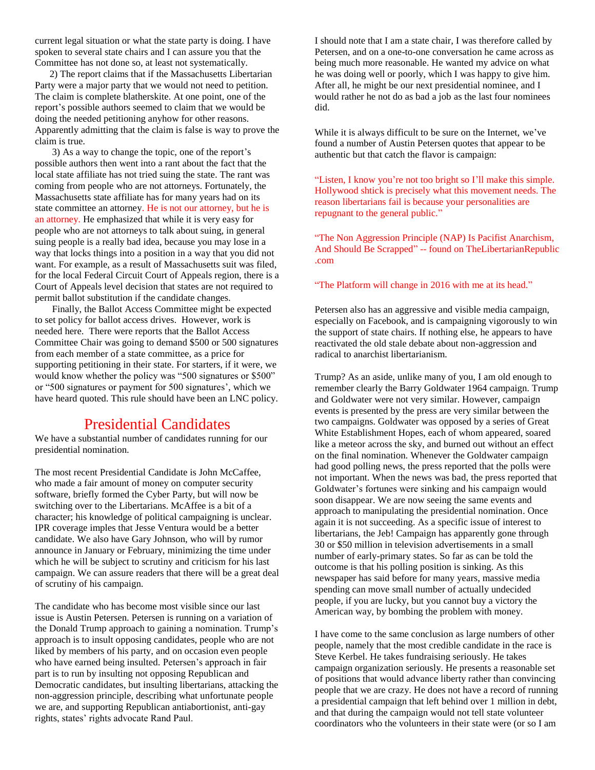current legal situation or what the state party is doing. I have spoken to several state chairs and I can assure you that the Committee has not done so, at least not systematically.

 2) The report claims that if the Massachusetts Libertarian Party were a major party that we would not need to petition. The claim is complete blatherskite. At one point, one of the report's possible authors seemed to claim that we would be doing the needed petitioning anyhow for other reasons. Apparently admitting that the claim is false is way to prove the claim is true.

 3) As a way to change the topic, one of the report's possible authors then went into a rant about the fact that the local state affiliate has not tried suing the state. The rant was coming from people who are not attorneys. Fortunately, the Massachusetts state affiliate has for many years had on its state committee an attorney. He is not our attorney, but he is an attorney. He emphasized that while it is very easy for people who are not attorneys to talk about suing, in general suing people is a really bad idea, because you may lose in a way that locks things into a position in a way that you did not want. For example, as a result of Massachusetts suit was filed, for the local Federal Circuit Court of Appeals region, there is a Court of Appeals level decision that states are not required to permit ballot substitution if the candidate changes.

 Finally, the Ballot Access Committee might be expected to set policy for ballot access drives. However, work is needed here. There were reports that the Ballot Access Committee Chair was going to demand \$500 or 500 signatures from each member of a state committee, as a price for supporting petitioning in their state. For starters, if it were, we would know whether the policy was "500 signatures or \$500" or "500 signatures or payment for 500 signatures', which we have heard quoted. This rule should have been an LNC policy.

# Presidential Candidates

We have a substantial number of candidates running for our presidential nomination.

The most recent Presidential Candidate is John McCaffee, who made a fair amount of money on computer security software, briefly formed the Cyber Party, but will now be switching over to the Libertarians. McAffee is a bit of a character; his knowledge of political campaigning is unclear. IPR coverage imples that Jesse Ventura would be a better candidate. We also have Gary Johnson, who will by rumor announce in January or February, minimizing the time under which he will be subject to scrutiny and criticism for his last campaign. We can assure readers that there will be a great deal of scrutiny of his campaign.

The candidate who has become most visible since our last issue is Austin Petersen. Petersen is running on a variation of the Donald Trump approach to gaining a nomination. Trump's approach is to insult opposing candidates, people who are not liked by members of his party, and on occasion even people who have earned being insulted. Petersen's approach in fair part is to run by insulting not opposing Republican and Democratic candidates, but insulting libertarians, attacking the non-aggression principle, describing what unfortunate people we are, and supporting Republican antiabortionist, anti-gay rights, states' rights advocate Rand Paul.

I should note that I am a state chair, I was therefore called by Petersen, and on a one-to-one conversation he came across as being much more reasonable. He wanted my advice on what he was doing well or poorly, which I was happy to give him. After all, he might be our next presidential nominee, and I would rather he not do as bad a job as the last four nominees did.

While it is always difficult to be sure on the Internet, we've found a number of Austin Petersen quotes that appear to be authentic but that catch the flavor is campaign:

"Listen, I know you're not too bright so I'll make this simple. Hollywood shtick is precisely what this movement needs. The reason libertarians fail is because your personalities are repugnant to the general public."

"The Non Aggression Principle (NAP) Is Pacifist Anarchism, And Should Be Scrapped" -- found on TheLibertarianRepublic .com

"The Platform will change in 2016 with me at its head."

Petersen also has an aggressive and visible media campaign, especially on Facebook, and is campaigning vigorously to win the support of state chairs. If nothing else, he appears to have reactivated the old stale debate about non-aggression and radical to anarchist libertarianism.

Trump? As an aside, unlike many of you, I am old enough to remember clearly the Barry Goldwater 1964 campaign. Trump and Goldwater were not very similar. However, campaign events is presented by the press are very similar between the two campaigns. Goldwater was opposed by a series of Great White Establishment Hopes, each of whom appeared, soared like a meteor across the sky, and burned out without an effect on the final nomination. Whenever the Goldwater campaign had good polling news, the press reported that the polls were not important. When the news was bad, the press reported that Goldwater's fortunes were sinking and his campaign would soon disappear. We are now seeing the same events and approach to manipulating the presidential nomination. Once again it is not succeeding. As a specific issue of interest to libertarians, the Jeb! Campaign has apparently gone through 30 or \$50 million in television advertisements in a small number of early-primary states. So far as can be told the outcome is that his polling position is sinking. As this newspaper has said before for many years, massive media spending can move small number of actually undecided people, if you are lucky, but you cannot buy a victory the American way, by bombing the problem with money.

I have come to the same conclusion as large numbers of other people, namely that the most credible candidate in the race is Steve Kerbel. He takes fundraising seriously. He takes campaign organization seriously. He presents a reasonable set of positions that would advance liberty rather than convincing people that we are crazy. He does not have a record of running a presidential campaign that left behind over 1 million in debt, and that during the campaign would not tell state volunteer coordinators who the volunteers in their state were (or so I am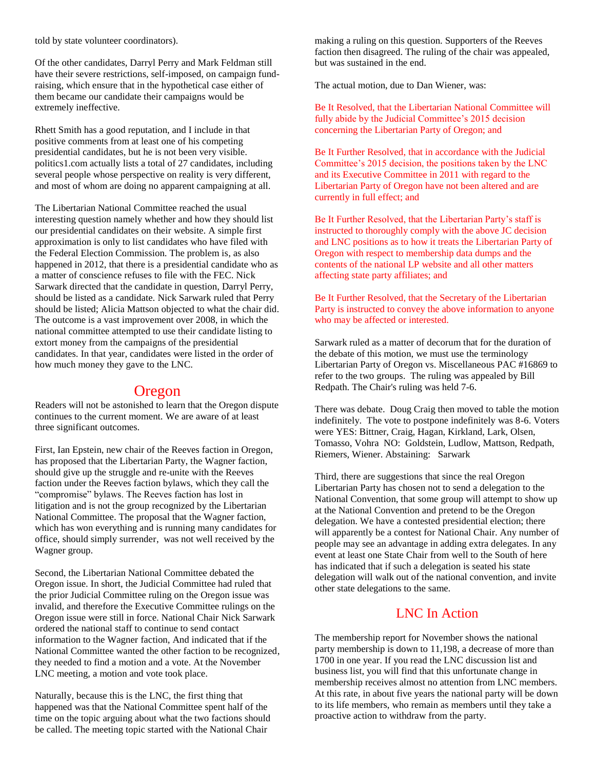told by state volunteer coordinators).

Of the other candidates, Darryl Perry and Mark Feldman still have their severe restrictions, self-imposed, on campaign fundraising, which ensure that in the hypothetical case either of them became our candidate their campaigns would be extremely ineffective.

Rhett Smith has a good reputation, and I include in that positive comments from at least one of his competing presidential candidates, but he is not been very visible. politics1.com actually lists a total of 27 candidates, including several people whose perspective on reality is very different, and most of whom are doing no apparent campaigning at all.

The Libertarian National Committee reached the usual interesting question namely whether and how they should list our presidential candidates on their website. A simple first approximation is only to list candidates who have filed with the Federal Election Commission. The problem is, as also happened in 2012, that there is a presidential candidate who as a matter of conscience refuses to file with the FEC. Nick Sarwark directed that the candidate in question, Darryl Perry, should be listed as a candidate. Nick Sarwark ruled that Perry should be listed; Alicia Mattson objected to what the chair did. The outcome is a vast improvement over 2008, in which the national committee attempted to use their candidate listing to extort money from the campaigns of the presidential candidates. In that year, candidates were listed in the order of how much money they gave to the LNC.

## Oregon

Readers will not be astonished to learn that the Oregon dispute continues to the current moment. We are aware of at least three significant outcomes.

First, Ian Epstein, new chair of the Reeves faction in Oregon, has proposed that the Libertarian Party, the Wagner faction, should give up the struggle and re-unite with the Reeves faction under the Reeves faction bylaws, which they call the "compromise" bylaws. The Reeves faction has lost in litigation and is not the group recognized by the Libertarian National Committee. The proposal that the Wagner faction, which has won everything and is running many candidates for office, should simply surrender, was not well received by the Wagner group.

Second, the Libertarian National Committee debated the Oregon issue. In short, the Judicial Committee had ruled that the prior Judicial Committee ruling on the Oregon issue was invalid, and therefore the Executive Committee rulings on the Oregon issue were still in force. National Chair Nick Sarwark ordered the national staff to continue to send contact information to the Wagner faction, And indicated that if the National Committee wanted the other faction to be recognized, they needed to find a motion and a vote. At the November LNC meeting, a motion and vote took place.

Naturally, because this is the LNC, the first thing that happened was that the National Committee spent half of the time on the topic arguing about what the two factions should be called. The meeting topic started with the National Chair

making a ruling on this question. Supporters of the Reeves faction then disagreed. The ruling of the chair was appealed, but was sustained in the end.

The actual motion, due to Dan Wiener, was:

Be It Resolved, that the Libertarian National Committee will fully abide by the Judicial Committee's 2015 decision concerning the Libertarian Party of Oregon; and

Be It Further Resolved, that in accordance with the Judicial Committee's 2015 decision, the positions taken by the LNC and its Executive Committee in 2011 with regard to the Libertarian Party of Oregon have not been altered and are currently in full effect; and

Be It Further Resolved, that the Libertarian Party's staff is instructed to thoroughly comply with the above JC decision and LNC positions as to how it treats the Libertarian Party of Oregon with respect to membership data dumps and the contents of the national LP website and all other matters affecting state party affiliates; and

Be It Further Resolved, that the Secretary of the Libertarian Party is instructed to convey the above information to anyone who may be affected or interested.

Sarwark ruled as a matter of decorum that for the duration of the debate of this motion, we must use the terminology Libertarian Party of Oregon vs. Miscellaneous PAC #16869 to refer to the two groups. The ruling was appealed by Bill Redpath. The Chair's ruling was held 7-6.

There was debate. Doug Craig then moved to table the motion indefinitely. The vote to postpone indefinitely was 8-6. Voters were YES: Bittner, Craig, Hagan, Kirkland, Lark, Olsen, Tomasso, Vohra NO: Goldstein, Ludlow, Mattson, Redpath, Riemers, Wiener. Abstaining: Sarwark

Third, there are suggestions that since the real Oregon Libertarian Party has chosen not to send a delegation to the National Convention, that some group will attempt to show up at the National Convention and pretend to be the Oregon delegation. We have a contested presidential election; there will apparently be a contest for National Chair. Any number of people may see an advantage in adding extra delegates. In any event at least one State Chair from well to the South of here has indicated that if such a delegation is seated his state delegation will walk out of the national convention, and invite other state delegations to the same.

#### LNC In Action

The membership report for November shows the national party membership is down to 11,198, a decrease of more than 1700 in one year. If you read the LNC discussion list and business list, you will find that this unfortunate change in membership receives almost no attention from LNC members. At this rate, in about five years the national party will be down to its life members, who remain as members until they take a proactive action to withdraw from the party.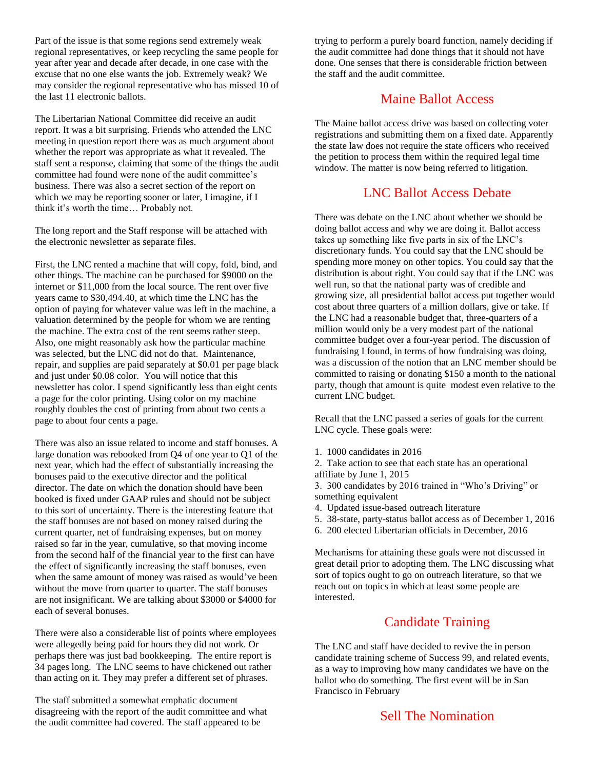Part of the issue is that some regions send extremely weak regional representatives, or keep recycling the same people for year after year and decade after decade, in one case with the excuse that no one else wants the job. Extremely weak? We may consider the regional representative who has missed 10 of the last 11 electronic ballots.

The Libertarian National Committee did receive an audit report. It was a bit surprising. Friends who attended the LNC meeting in question report there was as much argument about whether the report was appropriate as what it revealed. The staff sent a response, claiming that some of the things the audit committee had found were none of the audit committee's business. There was also a secret section of the report on which we may be reporting sooner or later, I imagine, if I think it's worth the time… Probably not.

The long report and the Staff response will be attached with the electronic newsletter as separate files.

First, the LNC rented a machine that will copy, fold, bind, and other things. The machine can be purchased for \$9000 on the internet or \$11,000 from the local source. The rent over five years came to \$30,494.40, at which time the LNC has the option of paying for whatever value was left in the machine, a valuation determined by the people for whom we are renting the machine. The extra cost of the rent seems rather steep. Also, one might reasonably ask how the particular machine was selected, but the LNC did not do that. Maintenance, repair, and supplies are paid separately at \$0.01 per page black and just under \$0.08 color. You will notice that this newsletter has color. I spend significantly less than eight cents a page for the color printing. Using color on my machine roughly doubles the cost of printing from about two cents a page to about four cents a page.

There was also an issue related to income and staff bonuses. A large donation was rebooked from Q4 of one year to Q1 of the next year, which had the effect of substantially increasing the bonuses paid to the executive director and the political director. The date on which the donation should have been booked is fixed under GAAP rules and should not be subject to this sort of uncertainty. There is the interesting feature that the staff bonuses are not based on money raised during the current quarter, net of fundraising expenses, but on money raised so far in the year, cumulative, so that moving income from the second half of the financial year to the first can have the effect of significantly increasing the staff bonuses, even when the same amount of money was raised as would've been without the move from quarter to quarter. The staff bonuses are not insignificant. We are talking about \$3000 or \$4000 for each of several bonuses.

There were also a considerable list of points where employees were allegedly being paid for hours they did not work. Or perhaps there was just bad bookkeeping. The entire report is 34 pages long. The LNC seems to have chickened out rather than acting on it. They may prefer a different set of phrases.

The staff submitted a somewhat emphatic document disagreeing with the report of the audit committee and what the audit committee had covered. The staff appeared to be

trying to perform a purely board function, namely deciding if the audit committee had done things that it should not have done. One senses that there is considerable friction between the staff and the audit committee.

#### Maine Ballot Access

The Maine ballot access drive was based on collecting voter registrations and submitting them on a fixed date. Apparently the state law does not require the state officers who received the petition to process them within the required legal time window. The matter is now being referred to litigation.

#### LNC Ballot Access Debate

There was debate on the LNC about whether we should be doing ballot access and why we are doing it. Ballot access takes up something like five parts in six of the LNC's discretionary funds. You could say that the LNC should be spending more money on other topics. You could say that the distribution is about right. You could say that if the LNC was well run, so that the national party was of credible and growing size, all presidential ballot access put together would cost about three quarters of a million dollars, give or take. If the LNC had a reasonable budget that, three-quarters of a million would only be a very modest part of the national committee budget over a four-year period. The discussion of fundraising I found, in terms of how fundraising was doing, was a discussion of the notion that an LNC member should be committed to raising or donating \$150 a month to the national party, though that amount is quite modest even relative to the current LNC budget.

Recall that the LNC passed a series of goals for the current LNC cycle. These goals were:

1. 1000 candidates in 2016

2. Take action to see that each state has an operational affiliate by June 1, 2015

3. 300 candidates by 2016 trained in "Who's Driving" or something equivalent

- 4. Updated issue-based outreach literature
- 5. 38-state, party-status ballot access as of December 1, 2016
- 6. 200 elected Libertarian officials in December, 2016

Mechanisms for attaining these goals were not discussed in great detail prior to adopting them. The LNC discussing what sort of topics ought to go on outreach literature, so that we reach out on topics in which at least some people are interested.

## Candidate Training

The LNC and staff have decided to revive the in person candidate training scheme of Success 99, and related events, as a way to improving how many candidates we have on the ballot who do something. The first event will be in San Francisco in February

## Sell The Nomination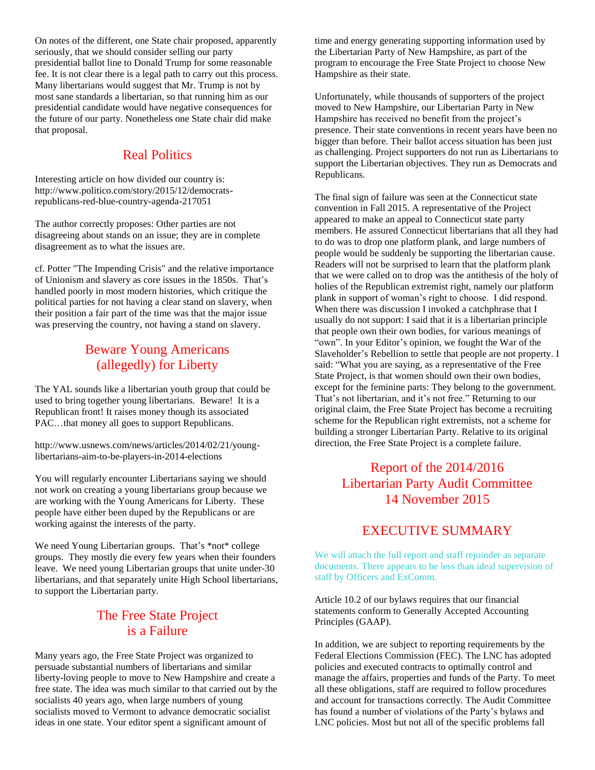On notes of the different, one State chair proposed, apparently seriously, that we should consider selling our party presidential ballot line to Donald Trump for some reasonable fee. It is not clear there is a legal path to carry out this process. Many libertarians would suggest that Mr. Trump is not by most sane standards a libertarian, so that running him as our presidential candidate would have negative consequences for the future of our party. Nonetheless one State chair did make that proposal.

## Real Politics

Interesting article on how divided our country is: http://www.politico.com/story/2015/12/democratsrepublicans-red-blue-country-agenda-217051

The author correctly proposes: Other parties are not disagreeing about stands on an issue; they are in complete disagreement as to what the issues are.

cf. Potter "The Impending Crisis" and the relative importance of Unionism and slavery as core issues in the 1850s. That's handled poorly in most modern histories, which critique the political parties for not having a clear stand on slavery, when their position a fair part of the time was that the major issue was preserving the country, not having a stand on slavery.

# Beware Young Americans (allegedly) for Liberty

The YAL sounds like a libertarian youth group that could be used to bring together young libertarians. Beware! It is a Republican front! It raises money though its associated PAC…that money all goes to support Republicans.

http://www.usnews.com/news/articles/2014/02/21/younglibertarians-aim-to-be-players-in-2014-elections

You will regularly encounter Libertarians saying we should not work on creating a young libertarians group because we are working with the Young Americans for Liberty. These people have either been duped by the Republicans or are working against the interests of the party.

We need Young Libertarian groups. That's \*not\* college groups. They mostly die every few years when their founders leave. We need young Libertarian groups that unite under-30 libertarians, and that separately unite High School libertarians, to support the Libertarian party.

## The Free State Project is a Failure

Many years ago, the Free State Project was organized to persuade substantial numbers of libertarians and similar liberty-loving people to move to New Hampshire and create a free state. The idea was much similar to that carried out by the socialists 40 years ago, when large numbers of young socialists moved to Vermont to advance democratic socialist ideas in one state. Your editor spent a significant amount of

time and energy generating supporting information used by the Libertarian Party of New Hampshire, as part of the program to encourage the Free State Project to choose New Hampshire as their state.

Unfortunately, while thousands of supporters of the project moved to New Hampshire, our Libertarian Party in New Hampshire has received no benefit from the project's presence. Their state conventions in recent years have been no bigger than before. Their ballot access situation has been just as challenging. Project supporters do not run as Libertarians to support the Libertarian objectives. They run as Democrats and Republicans.

The final sign of failure was seen at the Connecticut state convention in Fall 2015. A representative of the Project appeared to make an appeal to Connecticut state party members. He assured Connecticut libertarians that all they had to do was to drop one platform plank, and large numbers of people would be suddenly be supporting the libertarian cause. Readers will not be surprised to learn that the platform plank that we were called on to drop was the antithesis of the holy of holies of the Republican extremist right, namely our platform plank in support of woman's right to choose. I did respond. When there was discussion I invoked a catchphrase that I usually do not support: I said that it is a libertarian principle that people own their own bodies, for various meanings of "own". In your Editor's opinion, we fought the War of the Slaveholder's Rebellion to settle that people are not property. I said: "What you are saying, as a representative of the Free State Project, is that women should own their own bodies, except for the feminine parts: They belong to the government. That's not libertarian, and it's not free." Returning to our original claim, the Free State Project has become a recruiting scheme for the Republican right extremists, not a scheme for building a stronger Libertarian Party. Relative to its original direction, the Free State Project is a complete failure.

# Report of the 2014/2016 Libertarian Party Audit Committee 14 November 2015

# EXECUTIVE SUMMARY

We will attach the full report and staff rejoinder as separate documents. There appears to be less than ideal supervision of staff by Officers and ExComm.

Article 10.2 of our bylaws requires that our financial statements conform to Generally Accepted Accounting Principles (GAAP).

In addition, we are subject to reporting requirements by the Federal Elections Commission (FEC). The LNC has adopted policies and executed contracts to optimally control and manage the affairs, properties and funds of the Party. To meet all these obligations, staff are required to follow procedures and account for transactions correctly. The Audit Committee has found a number of violations of the Party's bylaws and LNC policies. Most but not all of the specific problems fall